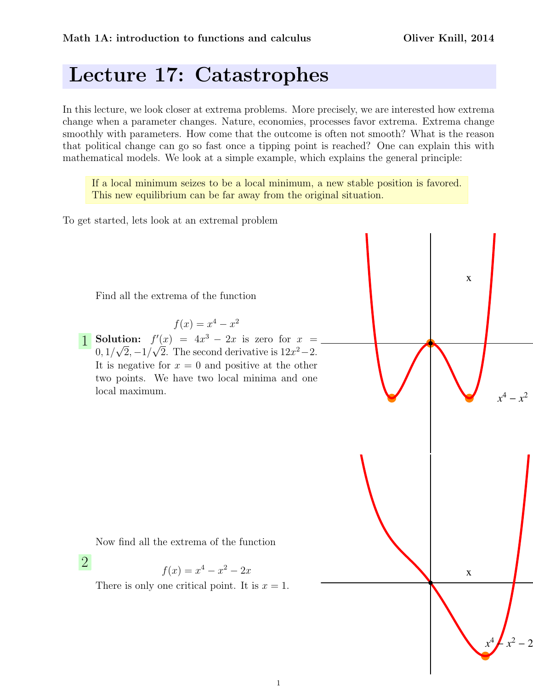*x*  $4 - x^2$ 2

*x*  $4 \cancel{1} x^2$ 

x

 $2^2 - 2$ 

x

## Lecture 17: Catastrophes

In this lecture, we look closer at extrema problems. More precisely, we are interested how extrema change when a parameter changes. Nature, economies, processes favor extrema. Extrema change smoothly with parameters. How come that the outcome is often not smooth? What is the reason that political change can go so fast once a tipping point is reached? One can explain this with mathematical models. We look at a simple example, which explains the general principle:

If a local minimum seizes to be a local minimum, a new stable position is favored. This new equilibrium can be far away from the original situation.

To get started, lets look at an extremal problem

Find all the extrema of the function

 $f(x) = x^4 - x^2$ 

**1** Solution:  $f'(x) = 4x^3 - 2x$  is zero for  $x =$  $0, 1/\sqrt{2}, -1/\sqrt{2}$ . The second derivative is  $12x^2-2$ . It is negative for  $x = 0$  and positive at the other two points. We have two local minima and one local maximum.

Now find all the extrema of the function

2

$$
f(x) = x^4 - x^2 - 2x
$$

There is only one critical point. It is  $x = 1$ .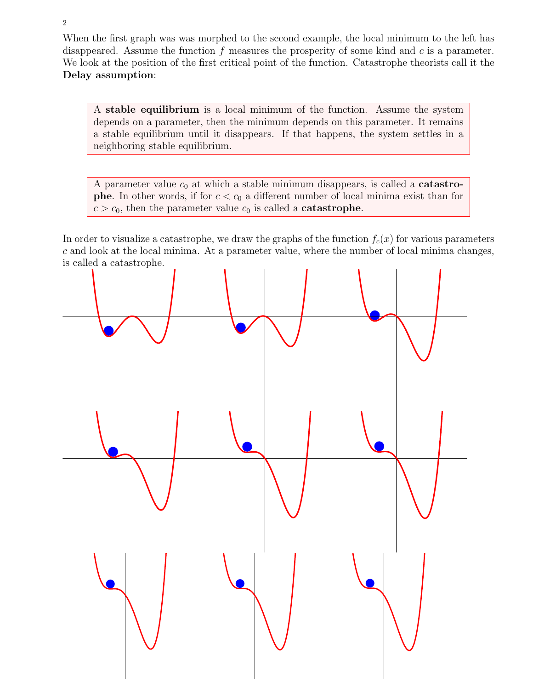When the first graph was was morphed to the second example, the local minimum to the left has disappeared. Assume the function  $f$  measures the prosperity of some kind and  $c$  is a parameter. We look at the position of the first critical point of the function. Catastrophe theorists call it the Delay assumption:

A stable equilibrium is a local minimum of the function. Assume the system depends on a parameter, then the minimum depends on this parameter. It remains a stable equilibrium until it disappears. If that happens, the system settles in a neighboring stable equilibrium.

A parameter value  $c_0$  at which a stable minimum disappears, is called a **catastrophe.** In other words, if for  $c < c_0$  a different number of local minima exist than for  $c > c_0$ , then the parameter value  $c_0$  is called a **catastrophe**.

In order to visualize a catastrophe, we draw the graphs of the function  $f_c(x)$  for various parameters c and look at the local minima. At a parameter value, where the number of local minima changes, is called a catastrophe.

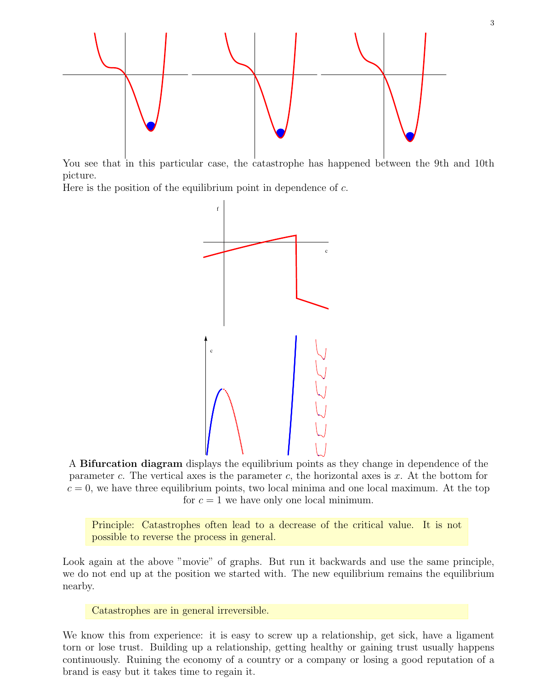

You see that in this particular case, the catastrophe has happened between the 9th and 10th picture.

Here is the position of the equilibrium point in dependence of  $c$ .



A Bifurcation diagram displays the equilibrium points as they change in dependence of the parameter c. The vertical axes is the parameter c, the horizontal axes is  $x$ . At the bottom for  $c = 0$ , we have three equilibrium points, two local minima and one local maximum. At the top for  $c = 1$  we have only one local minimum.

Principle: Catastrophes often lead to a decrease of the critical value. It is not possible to reverse the process in general.

Look again at the above "movie" of graphs. But run it backwards and use the same principle, we do not end up at the position we started with. The new equilibrium remains the equilibrium nearby.

Catastrophes are in general irreversible.

We know this from experience: it is easy to screw up a relationship, get sick, have a ligament torn or lose trust. Building up a relationship, getting healthy or gaining trust usually happens continuously. Ruining the economy of a country or a company or losing a good reputation of a brand is easy but it takes time to regain it.